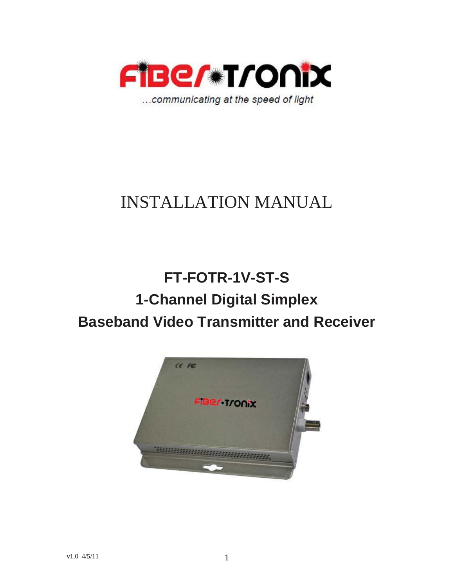

# INSTALLATION MANUAL

# **FT-FOTR-1V-ST-S 1-Channel Digital Simplex Baseband Video Transmitter and Receiver**

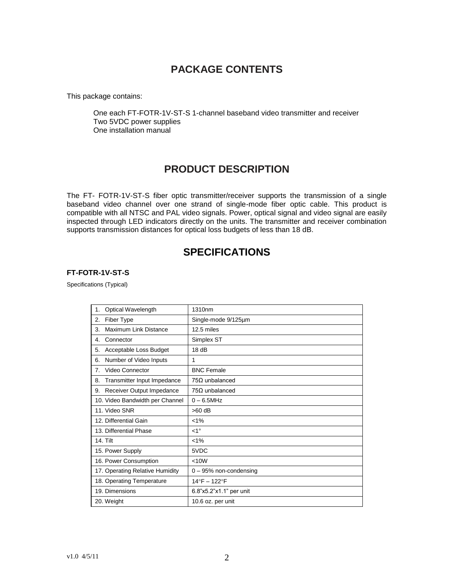## **PACKAGE CONTENTS**

This package contains:

One each FT-FOTR-1V-ST-S 1-channel baseband video transmitter and receiver Two 5VDC power supplies One installation manual

### **PRODUCT DESCRIPTION**

The FT- FOTR-1V-ST-S fiber optic transmitter/receiver supports the transmission of a single baseband video channel over one strand of single-mode fiber optic cable. This product is compatible with all NTSC and PAL video signals. Power, optical signal and video signal are easily inspected through LED indicators directly on the units. The transmitter and receiver combination supports transmission distances for optical loss budgets of less than 18 dB.

### **SPECIFICATIONS**

#### **FT-FOTR-1V-ST-S**

Specifications (Typical)

| Optical Wavelength<br>1.          | 1310nm                  |
|-----------------------------------|-------------------------|
| Fiber Type<br>2.                  | Single-mode 9/125um     |
| Maximum Link Distance<br>3.       | 12.5 miles              |
| 4.<br>Connector                   | Simplex ST              |
| 5.<br>Acceptable Loss Budget      | 18dB                    |
| Number of Video Inputs<br>6.      | 1                       |
| Video Connector<br>7.             | <b>BNC Female</b>       |
| Transmitter Input Impedance<br>8. | $75\Omega$ unbalanced   |
| Receiver Output Impedance<br>9.   | $75\Omega$ unbalanced   |
| 10. Video Bandwidth per Channel   | $0 - 6.5$ MHz           |
| 11. Video SNR                     | $>60$ dB                |
| 12. Differential Gain             | $< 1\%$                 |
| 13. Differential Phase            | $<1^{\circ}$            |
| <b>14. Tilt</b>                   | $< 1\%$                 |
| 15. Power Supply                  | 5VDC                    |
| 16. Power Consumption             | < 10W                   |
| 17. Operating Relative Humidity   | 0 - 95% non-condensing  |
| 18. Operating Temperature         | 14°F - 122°F            |
| 19. Dimensions                    | 6.8"x5.2"x1.1" per unit |
| 20. Weight                        | 10.6 oz. per unit       |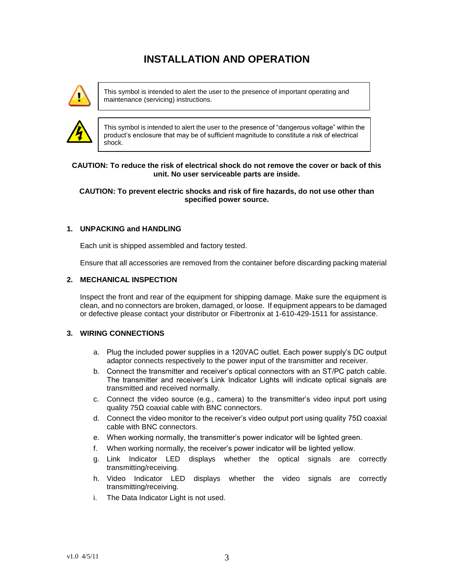## **INSTALLATION AND OPERATION**



This symbol is intended to alert the user to the presence of important operating and maintenance (servicing) instructions.



This symbol is intended to alert the user to the presence of "dangerous voltage" within the product's enclosure that may be of sufficient magnitude to constitute a risk of electrical shock.

#### **CAUTION: To reduce the risk of electrical shock do not remove the cover or back of this unit. No user serviceable parts are inside.**

#### **CAUTION: To prevent electric shocks and risk of fire hazards, do not use other than specified power source.**

#### **1. UNPACKING and HANDLING**

Each unit is shipped assembled and factory tested.

Ensure that all accessories are removed from the container before discarding packing material

#### **2. MECHANICAL INSPECTION**

Inspect the front and rear of the equipment for shipping damage. Make sure the equipment is clean, and no connectors are broken, damaged, or loose. If equipment appears to be damaged or defective please contact your distributor or Fibertronix at 1-610-429-1511 for assistance.

#### **3. WIRING CONNECTIONS**

- a. Plug the included power supplies in a 120VAC outlet. Each power supply's DC output adaptor connects respectively to the power input of the transmitter and receiver.
- b. Connect the transmitter and receiver's optical connectors with an ST/PC patch cable. The transmitter and receiver's Link Indicator Lights will indicate optical signals are transmitted and received normally.
- c. Connect the video source (e.g., camera) to the transmitter's video input port using quality 75Ω coaxial cable with BNC connectors.
- d. Connect the video monitor to the receiver's video output port using quality 75 $\Omega$  coaxial cable with BNC connectors.
- e. When working normally, the transmitter's power indicator will be lighted green.
- f. When working normally, the receiver's power indicator will be lighted yellow.
- g. Link Indicator LED displays whether the optical signals are correctly transmitting/receiving.
- h. Video Indicator LED displays whether the video signals are correctly transmitting/receiving.
- i. The Data Indicator Light is not used.